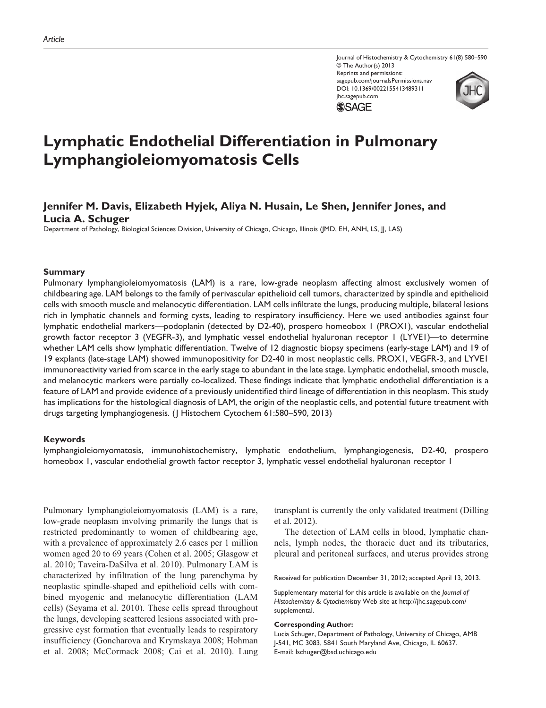Journal of Histochemistry & Cytochemistry 61(8) 580–590 © The Author(s) 2013 Reprints and permissions: sagepub.com/journalsPermissions.nav DOI: 10.1369/0022155413489311 jhc.sagepub.com **SSAGE** 



# **Lymphatic Endothelial Differentiation in Pulmonary Lymphangioleiomyomatosis Cells**

## **Jennifer M. Davis, Elizabeth Hyjek, Aliya N. Husain, Le Shen, Jennifer Jones, and Lucia A. Schuger**

Department of Pathology, Biological Sciences Division, University of Chicago, Chicago, Illinois (JMD, EH, ANH, LS, JJ, LAS)

#### **Summary**

Pulmonary lymphangioleiomyomatosis (LAM) is a rare, low-grade neoplasm affecting almost exclusively women of childbearing age. LAM belongs to the family of perivascular epithelioid cell tumors, characterized by spindle and epithelioid cells with smooth muscle and melanocytic differentiation. LAM cells infiltrate the lungs, producing multiple, bilateral lesions rich in lymphatic channels and forming cysts, leading to respiratory insufficiency. Here we used antibodies against four lymphatic endothelial markers—podoplanin (detected by D2-40), prospero homeobox 1 (PROX1), vascular endothelial growth factor receptor 3 (VEGFR-3), and lymphatic vessel endothelial hyaluronan receptor 1 (LYVE1)—to determine whether LAM cells show lymphatic differentiation. Twelve of 12 diagnostic biopsy specimens (early-stage LAM) and 19 of 19 explants (late-stage LAM) showed immunopositivity for D2-40 in most neoplastic cells. PROX1, VEGFR-3, and LYVE1 immunoreactivity varied from scarce in the early stage to abundant in the late stage. Lymphatic endothelial, smooth muscle, and melanocytic markers were partially co-localized. These findings indicate that lymphatic endothelial differentiation is a feature of LAM and provide evidence of a previously unidentified third lineage of differentiation in this neoplasm. This study has implications for the histological diagnosis of LAM, the origin of the neoplastic cells, and potential future treatment with drugs targeting lymphangiogenesis. (J Histochem Cytochem 61:580–590, 2013)

#### **Keywords**

lymphangioleiomyomatosis, immunohistochemistry, lymphatic endothelium, lymphangiogenesis, D2-40, prospero homeobox 1, vascular endothelial growth factor receptor 3, lymphatic vessel endothelial hyaluronan receptor 1

Pulmonary lymphangioleiomyomatosis (LAM) is a rare, low-grade neoplasm involving primarily the lungs that is restricted predominantly to women of childbearing age, with a prevalence of approximately 2.6 cases per 1 million women aged 20 to 69 years (Cohen et al. 2005; Glasgow et al. 2010; Taveira-DaSilva et al. 2010). Pulmonary LAM is characterized by infiltration of the lung parenchyma by neoplastic spindle-shaped and epithelioid cells with combined myogenic and melanocytic differentiation (LAM cells) (Seyama et al. 2010). These cells spread throughout the lungs, developing scattered lesions associated with progressive cyst formation that eventually leads to respiratory insufficiency (Goncharova and Krymskaya 2008; Hohman et al. 2008; McCormack 2008; Cai et al. 2010). Lung transplant is currently the only validated treatment (Dilling et al. 2012).

The detection of LAM cells in blood, lymphatic channels, lymph nodes, the thoracic duct and its tributaries, pleural and peritoneal surfaces, and uterus provides strong

Received for publication December 31, 2012; accepted April 13, 2013.

#### **Corresponding Author:**

Lucia Schuger, Department of Pathology, University of Chicago, AMB J-541, MC 3083, 5841 South Maryland Ave, Chicago, IL 60637. E-mail: lschuger@bsd.uchicago.edu

Supplementary material for this article is available on the *Journal of Histochemistry & Cytochemistry* Web site at http://jhc.sagepub.com/ supplemental.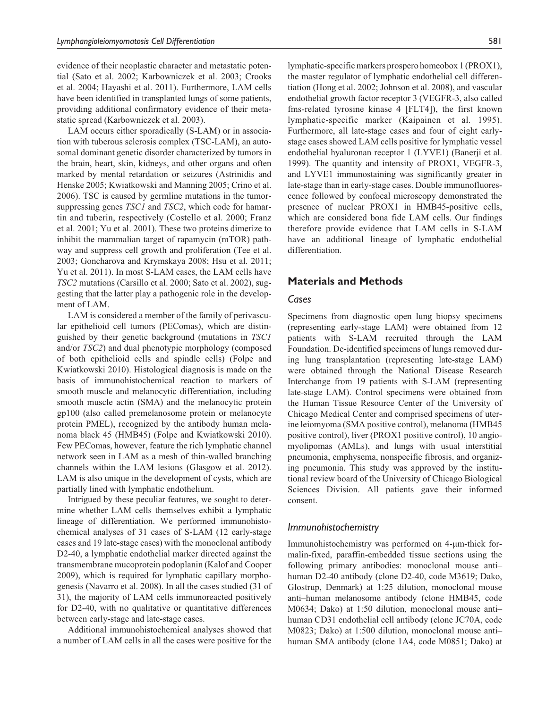evidence of their neoplastic character and metastatic potential (Sato et al. 2002; Karbowniczek et al. 2003; Crooks et al. 2004; Hayashi et al. 2011). Furthermore, LAM cells have been identified in transplanted lungs of some patients, providing additional confirmatory evidence of their metastatic spread (Karbowniczek et al. 2003).

LAM occurs either sporadically (S-LAM) or in association with tuberous sclerosis complex (TSC-LAM), an autosomal dominant genetic disorder characterized by tumors in the brain, heart, skin, kidneys, and other organs and often marked by mental retardation or seizures (Astrinidis and Henske 2005; Kwiatkowski and Manning 2005; Crino et al. 2006). TSC is caused by germline mutations in the tumorsuppressing genes *TSC1* and *TSC2*, which code for hamartin and tuberin, respectively (Costello et al. 2000; Franz et al. 2001; Yu et al. 2001). These two proteins dimerize to inhibit the mammalian target of rapamycin (mTOR) pathway and suppress cell growth and proliferation (Tee et al. 2003; Goncharova and Krymskaya 2008; Hsu et al. 2011; Yu et al. 2011). In most S-LAM cases, the LAM cells have *TSC2* mutations (Carsillo et al. 2000; Sato et al. 2002), suggesting that the latter play a pathogenic role in the development of LAM.

LAM is considered a member of the family of perivascular epithelioid cell tumors (PEComas), which are distinguished by their genetic background (mutations in *TSC1* and/or *TSC2*) and dual phenotypic morphology (composed of both epithelioid cells and spindle cells) (Folpe and Kwiatkowski 2010). Histological diagnosis is made on the basis of immunohistochemical reaction to markers of smooth muscle and melanocytic differentiation, including smooth muscle actin (SMA) and the melanocytic protein gp100 (also called premelanosome protein or melanocyte protein PMEL), recognized by the antibody human melanoma black 45 (HMB45) (Folpe and Kwiatkowski 2010). Few PEComas, however, feature the rich lymphatic channel network seen in LAM as a mesh of thin-walled branching channels within the LAM lesions (Glasgow et al. 2012). LAM is also unique in the development of cysts, which are partially lined with lymphatic endothelium.

Intrigued by these peculiar features, we sought to determine whether LAM cells themselves exhibit a lymphatic lineage of differentiation. We performed immunohistochemical analyses of 31 cases of S-LAM (12 early-stage cases and 19 late-stage cases) with the monoclonal antibody D2-40, a lymphatic endothelial marker directed against the transmembrane mucoprotein podoplanin (Kalof and Cooper 2009), which is required for lymphatic capillary morphogenesis (Navarro et al. 2008). In all the cases studied (31 of 31), the majority of LAM cells immunoreacted positively for D2-40, with no qualitative or quantitative differences between early-stage and late-stage cases.

Additional immunohistochemical analyses showed that a number of LAM cells in all the cases were positive for the

lymphatic-specific markers prospero homeobox 1 (PROX1), the master regulator of lymphatic endothelial cell differentiation (Hong et al. 2002; Johnson et al. 2008), and vascular endothelial growth factor receptor 3 (VEGFR-3, also called fms-related tyrosine kinase 4 [FLT4]), the first known lymphatic-specific marker (Kaipainen et al. 1995). Furthermore, all late-stage cases and four of eight earlystage cases showed LAM cells positive for lymphatic vessel endothelial hyaluronan receptor 1 (LYVE1) (Banerji et al. 1999). The quantity and intensity of PROX1, VEGFR-3, and LYVE1 immunostaining was significantly greater in late-stage than in early-stage cases. Double immunofluorescence followed by confocal microscopy demonstrated the presence of nuclear PROX1 in HMB45-positive cells, which are considered bona fide LAM cells. Our findings therefore provide evidence that LAM cells in S-LAM have an additional lineage of lymphatic endothelial differentiation.

## **Materials and Methods**

### *Cases*

Specimens from diagnostic open lung biopsy specimens (representing early-stage LAM) were obtained from 12 patients with S-LAM recruited through the LAM Foundation. De-identified specimens of lungs removed during lung transplantation (representing late-stage LAM) were obtained through the National Disease Research Interchange from 19 patients with S-LAM (representing late-stage LAM). Control specimens were obtained from the Human Tissue Resource Center of the University of Chicago Medical Center and comprised specimens of uterine leiomyoma (SMA positive control), melanoma (HMB45 positive control), liver (PROX1 positive control), 10 angiomyolipomas (AMLs), and lungs with usual interstitial pneumonia, emphysema, nonspecific fibrosis, and organizing pneumonia. This study was approved by the institutional review board of the University of Chicago Biological Sciences Division. All patients gave their informed consent.

## *Immunohistochemistry*

Immunohistochemistry was performed on 4-µm-thick formalin-fixed, paraffin-embedded tissue sections using the following primary antibodies: monoclonal mouse anti– human D2-40 antibody (clone D2-40, code M3619; Dako, Glostrup, Denmark) at 1:25 dilution, monoclonal mouse anti–human melanosome antibody (clone HMB45, code M0634; Dako) at 1:50 dilution, monoclonal mouse anti– human CD31 endothelial cell antibody (clone JC70A, code M0823; Dako) at 1:500 dilution, monoclonal mouse anti– human SMA antibody (clone 1A4, code M0851; Dako) at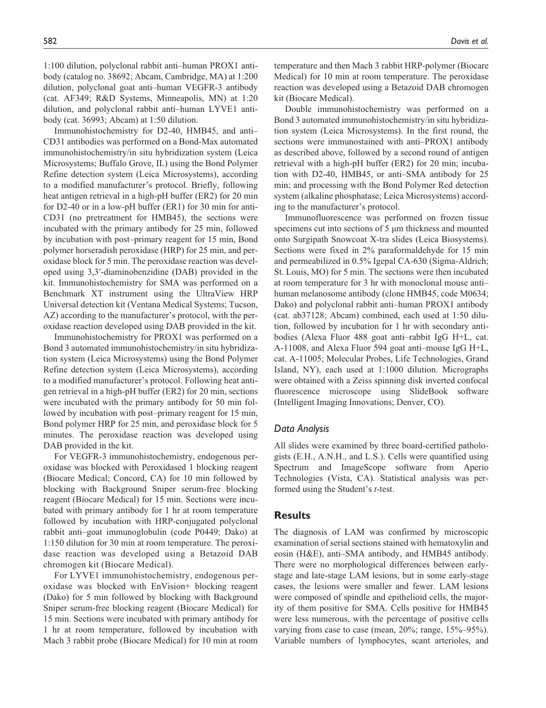1:100 dilution, polyclonal rabbit anti–human PROX1 antibody (catalog no. 38692; Abcam, Cambridge, MA) at 1:200 dilution, polyclonal goat anti–human VEGFR-3 antibody (cat. AF349; R&D Systems, Minneapolis, MN) at 1:20 dilution, and polyclonal rabbit anti–human LYVE1 antibody (cat. 36993; Abcam) at 1:50 dilution.

Immunohistochemistry for D2-40, HMB45, and anti– CD31 antibodies was performed on a Bond-Max automated immunohistochemistry/in situ hybridization system (Leica Microsystems; Buffalo Grove, IL) using the Bond Polymer Refine detection system (Leica Microsystems), according to a modified manufacturer's protocol. Briefly, following heat antigen retrieval in a high-pH buffer (ER2) for 20 min for D2-40 or in a low-pH buffer (ER1) for 30 min for anti-CD31 (no pretreatment for HMB45), the sections were incubated with the primary antibody for 25 min, followed by incubation with post–primary reagent for 15 min, Bond polymer horseradish peroxidase (HRP) for 25 min, and peroxidase block for 5 min. The peroxidase reaction was developed using 3,3′-diaminobenzidine (DAB) provided in the kit. Immunohistochemistry for SMA was performed on a Benchmark XT instrument using the UltraView HRP Universal detection kit (Ventana Medical Systems; Tucson, AZ) according to the manufacturer's protocol, with the peroxidase reaction developed using DAB provided in the kit.

Immunohistochemistry for PROX1 was performed on a Bond 3 automated immunohistochemistry/in situ hybridization system (Leica Microsystems) using the Bond Polymer Refine detection system (Leica Microsystems), according to a modified manufacturer's protocol. Following heat antigen retrieval in a high-pH buffer (ER2) for 20 min, sections were incubated with the primary antibody for 50 min followed by incubation with post–primary reagent for 15 min, Bond polymer HRP for 25 min, and peroxidase block for 5 minutes. The peroxidase reaction was developed using DAB provided in the kit.

For VEGFR-3 immunohistochemistry, endogenous peroxidase was blocked with Peroxidased 1 blocking reagent (Biocare Medical; Concord, CA) for 10 min followed by blocking with Background Sniper serum-free blocking reagent (Biocare Medical) for 15 min. Sections were incubated with primary antibody for 1 hr at room temperature followed by incubation with HRP-conjugated polyclonal rabbit anti–goat immunoglobulin (code P0449; Dako) at 1:150 dilution for 30 min at room temperature. The peroxidase reaction was developed using a Betazoid DAB chromogen kit (Biocare Medical).

For LYVE1 immunohistochemistry, endogenous peroxidase was blocked with EnVision+ blocking reagent (Dako) for 5 min followed by blocking with Background Sniper serum-free blocking reagent (Biocare Medical) for 15 min. Sections were incubated with primary antibody for 1 hr at room temperature, followed by incubation with Mach 3 rabbit probe (Biocare Medical) for 10 min at room temperature and then Mach 3 rabbit HRP-polymer (Biocare Medical) for 10 min at room temperature. The peroxidase reaction was developed using a Betazoid DAB chromogen kit (Biocare Medical).

Double immunohistochemistry was performed on a Bond 3 automated immunohistochemistry/in situ hybridization system (Leica Microsystems). In the first round, the sections were immunostained with anti–PROX1 antibody as described above, followed by a second round of antigen retrieval with a high-pH buffer (ER2) for 20 min; incubation with D2-40, HMB45, or anti–SMA antibody for 25 min; and processing with the Bond Polymer Red detection system (alkaline phosphatase; Leica Microsystems) according to the manufacturer's protocol.

Immunofluorescence was performed on frozen tissue specimens cut into sections of 5  $\mu$ m thickness and mounted onto Surgipath Snowcoat X-tra slides (Leica Biosystems). Sections were fixed in 2% paraformaldehyde for 15 min and permeabilized in 0.5% Igepal CA-630 (Sigma-Aldrich; St. Louis, MO) for 5 min. The sections were then incubated at room temperature for 3 hr with monoclonal mouse anti– human melanosome antibody (clone HMB45, code M0634; Dako) and polyclonal rabbit anti–human PROX1 antibody (cat. ab37128; Abcam) combined, each used at 1:50 dilution, followed by incubation for 1 hr with secondary antibodies (Alexa Fluor 488 goat anti–rabbit IgG H+L, cat. A-11008, and Alexa Fluor 594 goat anti–mouse IgG H+L, cat. A-11005; Molecular Probes, Life Technologies, Grand Island, NY), each used at 1:1000 dilution. Micrographs were obtained with a Zeiss spinning disk inverted confocal fluorescence microscope using SlideBook software (Intelligent Imaging Innovations; Denver, CO).

#### *Data Analysis*

All slides were examined by three board-certified pathologists (E.H., A.N.H., and L.S.). Cells were quantified using Spectrum and ImageScope software from Aperio Technologies (Vista, CA). Statistical analysis was performed using the Student's *t*-test.

## **Results**

The diagnosis of LAM was confirmed by microscopic examination of serial sections stained with hematoxylin and eosin (H&E), anti–SMA antibody, and HMB45 antibody. There were no morphological differences between earlystage and late-stage LAM lesions, but in some early-stage cases, the lesions were smaller and fewer. LAM lesions were composed of spindle and epithelioid cells, the majority of them positive for SMA. Cells positive for HMB45 were less numerous, with the percentage of positive cells varying from case to case (mean, 20%; range, 15%–95%). Variable numbers of lymphocytes, scant arterioles, and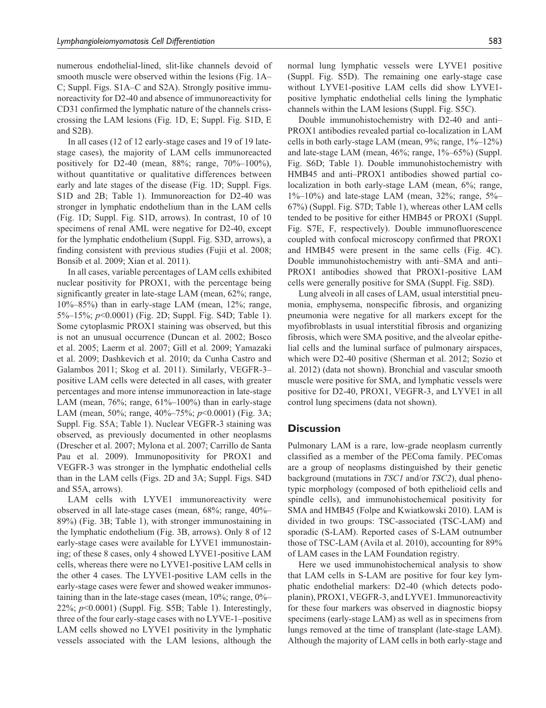numerous endothelial-lined, slit-like channels devoid of smooth muscle were observed within the lesions (Fig. 1A– C; Suppl. Figs. S1A–C and S2A). Strongly positive immunoreactivity for D2-40 and absence of immunoreactivity for CD31 confirmed the lymphatic nature of the channels crisscrossing the LAM lesions (Fig. 1D, E; Suppl. Fig. S1D, E and S2B).

In all cases (12 of 12 early-stage cases and 19 of 19 latestage cases), the majority of LAM cells immunoreacted positively for D2-40 (mean, 88%; range, 70%–100%), without quantitative or qualitative differences between early and late stages of the disease (Fig. 1D; Suppl. Figs. S1D and 2B; Table 1). Immunoreaction for D2-40 was stronger in lymphatic endothelium than in the LAM cells (Fig. 1D; Suppl. Fig. S1D, arrows). In contrast, 10 of 10 specimens of renal AML were negative for D2-40, except for the lymphatic endothelium (Suppl. Fig. S3D, arrows), a finding consistent with previous studies (Fujii et al. 2008; Bonsib et al. 2009; Xian et al. 2011).

In all cases, variable percentages of LAM cells exhibited nuclear positivity for PROX1, with the percentage being significantly greater in late-stage LAM (mean, 62%; range, 10%–85%) than in early-stage LAM (mean, 12%; range, 5%–15%; *p*<0.0001) (Fig. 2D; Suppl. Fig. S4D; Table 1). Some cytoplasmic PROX1 staining was observed, but this is not an unusual occurrence (Duncan et al. 2002; Bosco et al. 2005; Laerm et al. 2007; Gill et al. 2009; Yamazaki et al. 2009; Dashkevich et al. 2010; da Cunha Castro and Galambos 2011; Skog et al. 2011). Similarly, VEGFR-3– positive LAM cells were detected in all cases, with greater percentages and more intense immunoreaction in late-stage LAM (mean,  $76\%$ ; range,  $61\%$ – $100\%$ ) than in early-stage LAM (mean, 50%; range, 40%–75%; *p*<0.0001) (Fig. 3A; Suppl. Fig. S5A; Table 1). Nuclear VEGFR-3 staining was observed, as previously documented in other neoplasms (Drescher et al. 2007; Mylona et al. 2007; Carrillo de Santa Pau et al. 2009). Immunopositivity for PROX1 and VEGFR-3 was stronger in the lymphatic endothelial cells than in the LAM cells (Figs. 2D and 3A; Suppl. Figs. S4D and S5A, arrows).

LAM cells with LYVE1 immunoreactivity were observed in all late-stage cases (mean, 68%; range, 40%– 89%) (Fig. 3B; Table 1), with stronger immunostaining in the lymphatic endothelium (Fig. 3B, arrows). Only 8 of 12 early-stage cases were available for LYVE1 immunostaining; of these 8 cases, only 4 showed LYVE1-positive LAM cells, whereas there were no LYVE1-positive LAM cells in the other 4 cases. The LYVE1-positive LAM cells in the early-stage cases were fewer and showed weaker immunostaining than in the late-stage cases (mean, 10%; range, 0%– 22%; *p*<0.0001) (Suppl. Fig. S5B; Table 1). Interestingly, three of the four early-stage cases with no LYVE-1–positive LAM cells showed no LYVE1 positivity in the lymphatic vessels associated with the LAM lesions, although the normal lung lymphatic vessels were LYVE1 positive (Suppl. Fig. S5D). The remaining one early-stage case without LYVE1-positive LAM cells did show LYVE1 positive lymphatic endothelial cells lining the lymphatic channels within the LAM lesions (Suppl. Fig. S5C).

Double immunohistochemistry with D2-40 and anti– PROX1 antibodies revealed partial co-localization in LAM cells in both early-stage LAM (mean,  $9\%$ ; range,  $1\%$ – $12\%$ ) and late-stage LAM (mean, 46%; range, 1%–65%) (Suppl. Fig. S6D; Table 1). Double immunohistochemistry with HMB45 and anti–PROX1 antibodies showed partial colocalization in both early-stage LAM (mean, 6%; range,  $1\%$ – $10\%$ ) and late-stage LAM (mean, 32%; range, 5%– 67%) (Suppl. Fig. S7D; Table 1), whereas other LAM cells tended to be positive for either HMB45 or PROX1 (Suppl. Fig. S7E, F, respectively). Double immunofluorescence coupled with confocal microscopy confirmed that PROX1 and HMB45 were present in the same cells (Fig. 4C). Double immunohistochemistry with anti–SMA and anti– PROX1 antibodies showed that PROX1-positive LAM cells were generally positive for SMA (Suppl. Fig. S8D).

Lung alveoli in all cases of LAM, usual interstitial pneumonia, emphysema, nonspecific fibrosis, and organizing pneumonia were negative for all markers except for the myofibroblasts in usual interstitial fibrosis and organizing fibrosis, which were SMA positive, and the alveolar epithelial cells and the luminal surface of pulmonary airspaces, which were D2-40 positive (Sherman et al. 2012; Sozio et al. 2012) (data not shown). Bronchial and vascular smooth muscle were positive for SMA, and lymphatic vessels were positive for D2-40, PROX1, VEGFR-3, and LYVE1 in all control lung specimens (data not shown).

## **Discussion**

Pulmonary LAM is a rare, low-grade neoplasm currently classified as a member of the PEComa family. PEComas are a group of neoplasms distinguished by their genetic background (mutations in *TSC1* and/or *TSC2*), dual phenotypic morphology (composed of both epithelioid cells and spindle cells), and immunohistochemical positivity for SMA and HMB45 (Folpe and Kwiatkowski 2010). LAM is divided in two groups: TSC-associated (TSC-LAM) and sporadic (S-LAM). Reported cases of S-LAM outnumber those of TSC-LAM (Avila et al. 2010), accounting for 89% of LAM cases in the LAM Foundation registry.

Here we used immunohistochemical analysis to show that LAM cells in S-LAM are positive for four key lymphatic endothelial markers: D2-40 (which detects podoplanin), PROX1, VEGFR-3, and LYVE1. Immunoreactivity for these four markers was observed in diagnostic biopsy specimens (early-stage LAM) as well as in specimens from lungs removed at the time of transplant (late-stage LAM). Although the majority of LAM cells in both early-stage and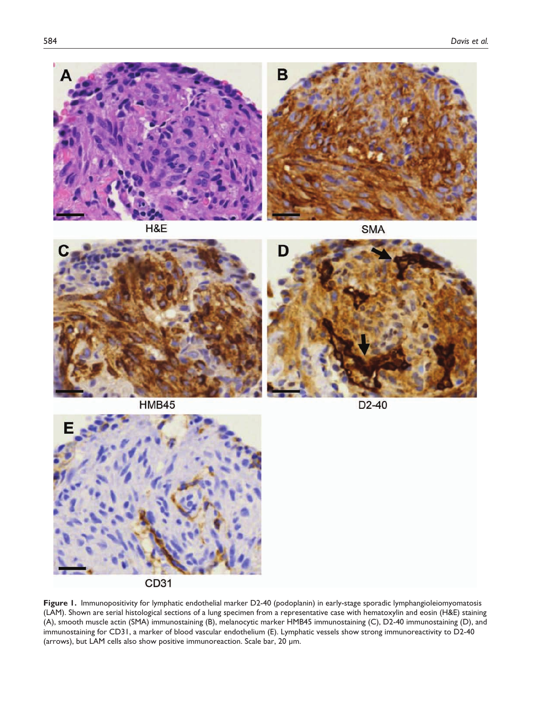

H&E

**SMA** 



**HMB45** 





**Figure 1.** Immunopositivity for lymphatic endothelial marker D2-40 (podoplanin) in early-stage sporadic lymphangioleiomyomatosis (LAM). Shown are serial histological sections of a lung specimen from a representative case with hematoxylin and eosin (H&E) staining (A), smooth muscle actin (SMA) immunostaining (B), melanocytic marker HMB45 immunostaining (C), D2-40 immunostaining (D), and immunostaining for CD31, a marker of blood vascular endothelium (E). Lymphatic vessels show strong immunoreactivity to D2-40 (arrows), but LAM cells also show positive immunoreaction. Scale bar, 20 µm.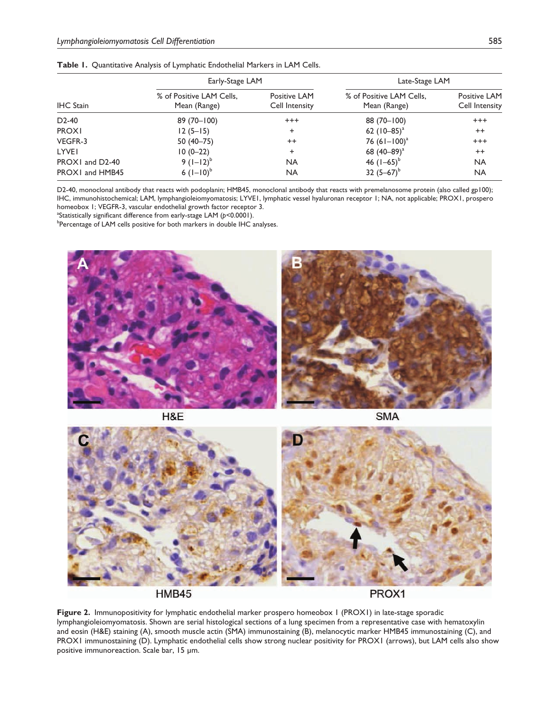|                  | Early-Stage LAM                          |                                | Late-Stage LAM                           |                                |  |
|------------------|------------------------------------------|--------------------------------|------------------------------------------|--------------------------------|--|
| <b>IHC</b> Stain | % of Positive LAM Cells,<br>Mean (Range) | Positive LAM<br>Cell Intensity | % of Positive LAM Cells,<br>Mean (Range) | Positive LAM<br>Cell Intensity |  |
| $D2-40$          | $89(70 - 100)$                           | $^{+++}$                       | 88 (70-100)                              | $+++$                          |  |
| <b>PROXI</b>     | $12(5-15)$                               | ÷                              | 62 $(10-85)^{a}$                         | $^{++}$                        |  |
| VEGFR-3          | $50(40 - 75)$                            | $^{++}$                        | 76 $(61-100)^{a}$                        | $^{+++}$                       |  |
| LYVEI            | 10 (0-22)                                | $\ddot{}$                      | 68 $(40-89)^{a}$                         | $^{++}$                        |  |
| PROX1 and D2-40  | 9 $(1-12)^{b}$                           | <b>NA</b>                      | 46 $(1-65)^{6}$                          | <b>NA</b>                      |  |
| PROX1 and HMB45  | 6 $(I-I0)^{6}$                           | <b>NA</b>                      | 32 $(5-67)^{6}$                          | <b>NA</b>                      |  |

|  | Table 1. Quantitative Analysis of Lymphatic Endothelial Markers in LAM Cells. |  |  |  |  |  |  |
|--|-------------------------------------------------------------------------------|--|--|--|--|--|--|
|--|-------------------------------------------------------------------------------|--|--|--|--|--|--|

D2-40, monoclonal antibody that reacts with podoplanin; HMB45, monoclonal antibody that reacts with premelanosome protein (also called gp100); IHC, immunohistochemical; LAM, lymphangioleiomyomatosis; LYVE1, lymphatic vessel hyaluronan receptor 1; NA, not applicable; PROX1, prospero homeobox 1; VEGFR-3, vascular endothelial growth factor receptor 3.

<sup>a</sup>Statistically significant difference from early-stage LAM (*p*<0.0001).

<sup>b</sup>Percentage of LAM cells positive for both markers in double IHC analyses.





**SMA** 



**Figure 2.** Immunopositivity for lymphatic endothelial marker prospero homeobox 1 (PROX1) in late-stage sporadic lymphangioleiomyomatosis. Shown are serial histological sections of a lung specimen from a representative case with hematoxylin and eosin (H&E) staining (A), smooth muscle actin (SMA) immunostaining (B), melanocytic marker HMB45 immunostaining (C), and PROX1 immunostaining (D). Lymphatic endothelial cells show strong nuclear positivity for PROX1 (arrows), but LAM cells also show positive immunoreaction. Scale bar, 15 µm.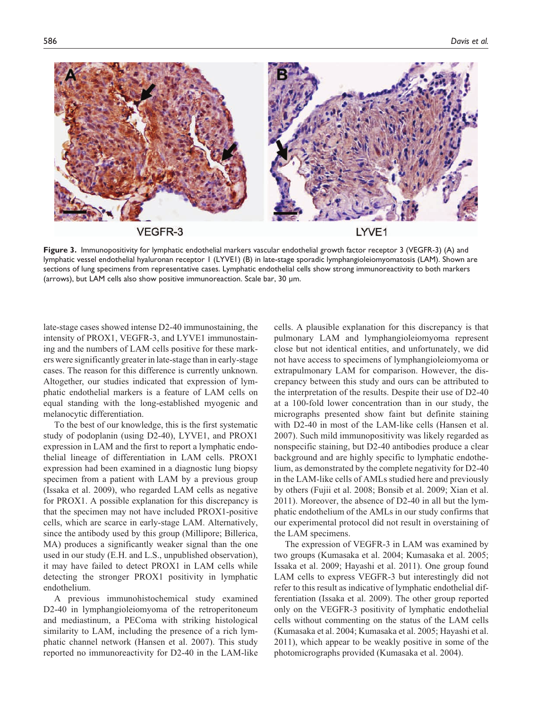

**Figure 3.** Immunopositivity for lymphatic endothelial markers vascular endothelial growth factor receptor 3 (VEGFR-3) (A) and lymphatic vessel endothelial hyaluronan receptor 1 (LYVE1) (B) in late-stage sporadic lymphangioleiomyomatosis (LAM). Shown are sections of lung specimens from representative cases. Lymphatic endothelial cells show strong immunoreactivity to both markers (arrows), but LAM cells also show positive immunoreaction. Scale bar, 30 µm.

late-stage cases showed intense D2-40 immunostaining, the intensity of PROX1, VEGFR-3, and LYVE1 immunostaining and the numbers of LAM cells positive for these markers were significantly greater in late-stage than in early-stage cases. The reason for this difference is currently unknown. Altogether, our studies indicated that expression of lymphatic endothelial markers is a feature of LAM cells on equal standing with the long-established myogenic and melanocytic differentiation.

To the best of our knowledge, this is the first systematic study of podoplanin (using D2-40), LYVE1, and PROX1 expression in LAM and the first to report a lymphatic endothelial lineage of differentiation in LAM cells. PROX1 expression had been examined in a diagnostic lung biopsy specimen from a patient with LAM by a previous group (Issaka et al. 2009), who regarded LAM cells as negative for PROX1. A possible explanation for this discrepancy is that the specimen may not have included PROX1-positive cells, which are scarce in early-stage LAM. Alternatively, since the antibody used by this group (Millipore; Billerica, MA) produces a significantly weaker signal than the one used in our study (E.H. and L.S., unpublished observation), it may have failed to detect PROX1 in LAM cells while detecting the stronger PROX1 positivity in lymphatic endothelium.

A previous immunohistochemical study examined D2-40 in lymphangioleiomyoma of the retroperitoneum and mediastinum, a PEComa with striking histological similarity to LAM, including the presence of a rich lymphatic channel network (Hansen et al. 2007). This study reported no immunoreactivity for D2-40 in the LAM-like

cells. A plausible explanation for this discrepancy is that pulmonary LAM and lymphangioleiomyoma represent close but not identical entities, and unfortunately, we did not have access to specimens of lymphangioleiomyoma or extrapulmonary LAM for comparison. However, the discrepancy between this study and ours can be attributed to the interpretation of the results. Despite their use of D2-40 at a 100-fold lower concentration than in our study, the micrographs presented show faint but definite staining with D2-40 in most of the LAM-like cells (Hansen et al. 2007). Such mild immunopositivity was likely regarded as nonspecific staining, but D2-40 antibodies produce a clear background and are highly specific to lymphatic endothelium, as demonstrated by the complete negativity for D2-40 in the LAM-like cells of AMLs studied here and previously by others (Fujii et al. 2008; Bonsib et al. 2009; Xian et al. 2011). Moreover, the absence of D2-40 in all but the lymphatic endothelium of the AMLs in our study confirms that our experimental protocol did not result in overstaining of the LAM specimens.

The expression of VEGFR-3 in LAM was examined by two groups (Kumasaka et al. 2004; Kumasaka et al. 2005; Issaka et al. 2009; Hayashi et al. 2011). One group found LAM cells to express VEGFR-3 but interestingly did not refer to this result as indicative of lymphatic endothelial differentiation (Issaka et al. 2009). The other group reported only on the VEGFR-3 positivity of lymphatic endothelial cells without commenting on the status of the LAM cells (Kumasaka et al. 2004; Kumasaka et al. 2005; Hayashi et al. 2011), which appear to be weakly positive in some of the photomicrographs provided (Kumasaka et al. 2004).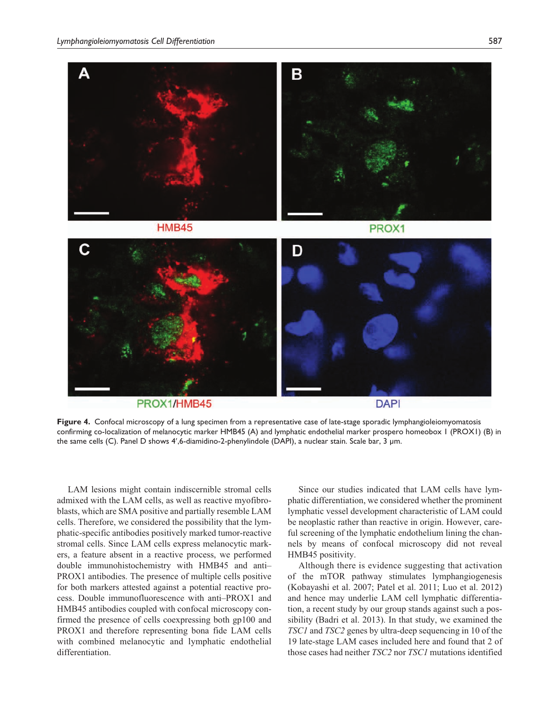

**Figure 4.** Confocal microscopy of a lung specimen from a representative case of late-stage sporadic lymphangioleiomyomatosis confirming co-localization of melanocytic marker HMB45 (A) and lymphatic endothelial marker prospero homeobox 1 (PROX1) (B) in the same cells (C). Panel D shows 4′,6-diamidino-2-phenylindole (DAPI), a nuclear stain. Scale bar, 3 µm.

LAM lesions might contain indiscernible stromal cells admixed with the LAM cells, as well as reactive myofibroblasts, which are SMA positive and partially resemble LAM cells. Therefore, we considered the possibility that the lymphatic-specific antibodies positively marked tumor-reactive stromal cells. Since LAM cells express melanocytic markers, a feature absent in a reactive process, we performed double immunohistochemistry with HMB45 and anti– PROX1 antibodies. The presence of multiple cells positive for both markers attested against a potential reactive process. Double immunofluorescence with anti–PROX1 and HMB45 antibodies coupled with confocal microscopy confirmed the presence of cells coexpressing both gp100 and PROX1 and therefore representing bona fide LAM cells with combined melanocytic and lymphatic endothelial differentiation.

Since our studies indicated that LAM cells have lymphatic differentiation, we considered whether the prominent lymphatic vessel development characteristic of LAM could be neoplastic rather than reactive in origin. However, careful screening of the lymphatic endothelium lining the channels by means of confocal microscopy did not reveal HMB45 positivity.

Although there is evidence suggesting that activation of the mTOR pathway stimulates lymphangiogenesis (Kobayashi et al. 2007; Patel et al. 2011; Luo et al. 2012) and hence may underlie LAM cell lymphatic differentiation, a recent study by our group stands against such a possibility (Badri et al. 2013). In that study, we examined the *TSC1* and *TSC2* genes by ultra-deep sequencing in 10 of the 19 late-stage LAM cases included here and found that 2 of those cases had neither *TSC2* nor *TSC1* mutations identified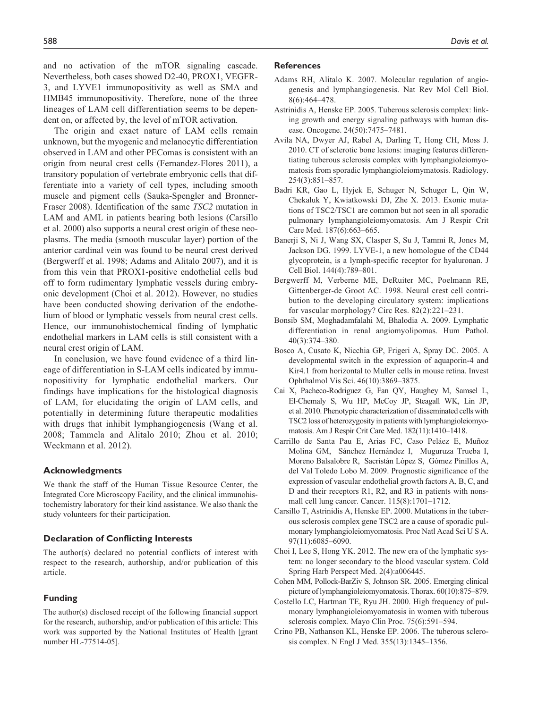and no activation of the mTOR signaling cascade. Nevertheless, both cases showed D2-40, PROX1, VEGFR-3, and LYVE1 immunopositivity as well as SMA and HMB45 immunopositivity. Therefore, none of the three lineages of LAM cell differentiation seems to be dependent on, or affected by, the level of mTOR activation.

The origin and exact nature of LAM cells remain unknown, but the myogenic and melanocytic differentiation observed in LAM and other PEComas is consistent with an origin from neural crest cells (Fernandez-Flores 2011), a transitory population of vertebrate embryonic cells that differentiate into a variety of cell types, including smooth muscle and pigment cells (Sauka-Spengler and Bronner-Fraser 2008). Identification of the same *TSC2* mutation in LAM and AML in patients bearing both lesions (Carsillo et al. 2000) also supports a neural crest origin of these neoplasms. The media (smooth muscular layer) portion of the anterior cardinal vein was found to be neural crest derived (Bergwerff et al. 1998; Adams and Alitalo 2007), and it is from this vein that PROX1-positive endothelial cells bud off to form rudimentary lymphatic vessels during embryonic development (Choi et al. 2012). However, no studies have been conducted showing derivation of the endothelium of blood or lymphatic vessels from neural crest cells. Hence, our immunohistochemical finding of lymphatic endothelial markers in LAM cells is still consistent with a neural crest origin of LAM.

In conclusion, we have found evidence of a third lineage of differentiation in S-LAM cells indicated by immunopositivity for lymphatic endothelial markers. Our findings have implications for the histological diagnosis of LAM, for elucidating the origin of LAM cells, and potentially in determining future therapeutic modalities with drugs that inhibit lymphangiogenesis (Wang et al. 2008; Tammela and Alitalo 2010; Zhou et al. 2010; Weckmann et al. 2012).

#### **Acknowledgments**

We thank the staff of the Human Tissue Resource Center, the Integrated Core Microscopy Facility, and the clinical immunohistochemistry laboratory for their kind assistance. We also thank the study volunteers for their participation.

#### **Declaration of Conflicting Interests**

The author(s) declared no potential conflicts of interest with respect to the research, authorship, and/or publication of this article.

#### **Funding**

The author(s) disclosed receipt of the following financial support for the research, authorship, and/or publication of this article: This work was supported by the National Institutes of Health [grant number HL-77514-05].

#### **References**

- Adams RH, Alitalo K. 2007. Molecular regulation of angiogenesis and lymphangiogenesis. Nat Rev Mol Cell Biol. 8(6):464–478.
- Astrinidis A, Henske EP. 2005. Tuberous sclerosis complex: linking growth and energy signaling pathways with human disease. Oncogene. 24(50):7475–7481.
- Avila NA, Dwyer AJ, Rabel A, Darling T, Hong CH, Moss J. 2010. CT of sclerotic bone lesions: imaging features differentiating tuberous sclerosis complex with lymphangioleiomyomatosis from sporadic lymphangioleiomymatosis. Radiology. 254(3):851–857.
- Badri KR, Gao L, Hyjek E, Schuger N, Schuger L, Qin W, Chekaluk Y, Kwiatkowski DJ, Zhe X. 2013. Exonic mutations of TSC2/TSC1 are common but not seen in all sporadic pulmonary lymphangioleiomyomatosis. Am J Respir Crit Care Med. 187(6):663–665.
- Banerji S, Ni J, Wang SX, Clasper S, Su J, Tammi R, Jones M, Jackson DG. 1999. LYVE-1, a new homologue of the CD44 glycoprotein, is a lymph-specific receptor for hyaluronan. J Cell Biol. 144(4):789–801.
- Bergwerff M, Verberne ME, DeRuiter MC, Poelmann RE, Gittenberger-de Groot AC. 1998. Neural crest cell contribution to the developing circulatory system: implications for vascular morphology? Circ Res. 82(2):221–231.
- Bonsib SM, Moghadamfalahi M, Bhalodia A. 2009. Lymphatic differentiation in renal angiomyolipomas. Hum Pathol. 40(3):374–380.
- Bosco A, Cusato K, Nicchia GP, Frigeri A, Spray DC. 2005. A developmental switch in the expression of aquaporin-4 and Kir4.1 from horizontal to Muller cells in mouse retina. Invest Ophthalmol Vis Sci. 46(10):3869–3875.
- Cai X, Pacheco-Rodriguez G, Fan QY, Haughey M, Samsel L, El-Chemaly S, Wu HP, McCoy JP, Steagall WK, Lin JP, et al. 2010. Phenotypic characterization of disseminated cells with TSC2 loss of heterozygosity in patients with lymphangioleiomyomatosis. Am J Respir Crit Care Med. 182(11):1410–1418.
- Carrillo de Santa Pau E, Arias FC, Caso Peláez E, Muñoz Molina GM, Sánchez Hernández I, Muguruza Trueba I, Moreno Balsalobre R, Sacristán López S, Gómez Pinillos A, del Val Toledo Lobo M. 2009. Prognostic significance of the expression of vascular endothelial growth factors A, B, C, and D and their receptors R1, R2, and R3 in patients with nonsmall cell lung cancer. Cancer. 115(8):1701–1712.
- Carsillo T, Astrinidis A, Henske EP. 2000. Mutations in the tuberous sclerosis complex gene TSC2 are a cause of sporadic pulmonary lymphangioleiomyomatosis. Proc Natl Acad Sci U S A. 97(11):6085–6090.
- Choi I, Lee S, Hong YK. 2012. The new era of the lymphatic system: no longer secondary to the blood vascular system. Cold Spring Harb Perspect Med. 2(4):a006445.
- Cohen MM, Pollock-BarZiv S, Johnson SR. 2005. Emerging clinical picture of lymphangioleiomyomatosis. Thorax. 60(10):875–879.
- Costello LC, Hartman TE, Ryu JH. 2000. High frequency of pulmonary lymphangioleiomyomatosis in women with tuberous sclerosis complex. Mayo Clin Proc. 75(6):591–594.
- Crino PB, Nathanson KL, Henske EP. 2006. The tuberous sclerosis complex. N Engl J Med. 355(13):1345–1356.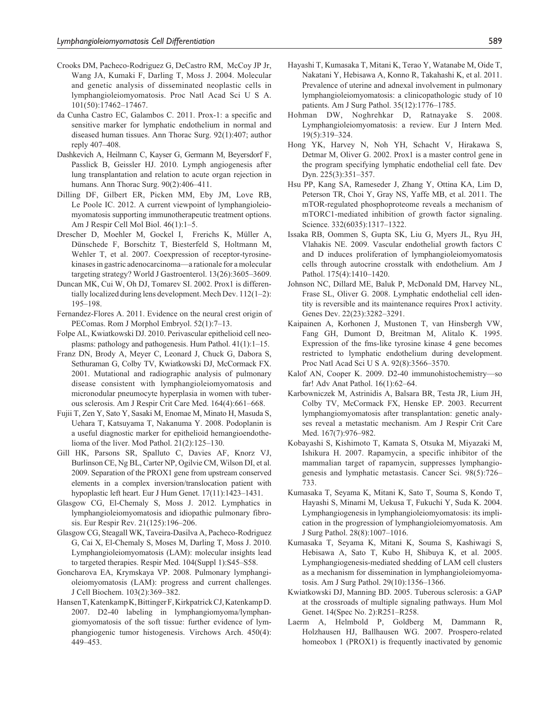- Crooks DM, Pacheco-Rodriguez G, DeCastro RM, McCoy JP Jr, Wang JA, Kumaki F, Darling T, Moss J. 2004. Molecular and genetic analysis of disseminated neoplastic cells in lymphangioleiomyomatosis. Proc Natl Acad Sci U S A. 101(50):17462–17467.
- da Cunha Castro EC, Galambos C. 2011. Prox-1: a specific and sensitive marker for lymphatic endothelium in normal and diseased human tissues. Ann Thorac Surg. 92(1):407; author reply 407–408.
- Dashkevich A, Heilmann C, Kayser G, Germann M, Beyersdorf F, Passlick B, Geissler HJ. 2010. Lymph angiogenesis after lung transplantation and relation to acute organ rejection in humans. Ann Thorac Surg. 90(2):406–411.
- Dilling DF, Gilbert ER, Picken MM, Eby JM, Love RB, Le Poole IC. 2012. A current viewpoint of lymphangioleiomyomatosis supporting immunotherapeutic treatment options. Am J Respir Cell Mol Biol. 46(1):1–5.
- Drescher D, Moehler M, Gockel I, Frerichs K, Müller A, Dünschede F, Borschitz T, Biesterfeld S, Holtmann M, Wehler T, et al. 2007. Coexpression of receptor-tyrosinekinases in gastric adenocarcinoma—a rationale for a molecular targeting strategy? World J Gastroenterol. 13(26):3605–3609.
- Duncan MK, Cui W, Oh DJ, Tomarev SI. 2002. Prox1 is differentially localized during lens development. Mech Dev. 112(1–2): 195–198.
- Fernandez-Flores A. 2011. Evidence on the neural crest origin of PEComas. Rom J Morphol Embryol. 52(1):7–13.
- Folpe AL, Kwiatkowski DJ. 2010. Perivascular epithelioid cell neoplasms: pathology and pathogenesis. Hum Pathol. 41(1):1–15.
- Franz DN, Brody A, Meyer C, Leonard J, Chuck G, Dabora S, Sethuraman G, Colby TV, Kwiatkowski DJ, McCormack FX. 2001. Mutational and radiographic analysis of pulmonary disease consistent with lymphangioleiomyomatosis and micronodular pneumocyte hyperplasia in women with tuberous sclerosis. Am J Respir Crit Care Med. 164(4):661–668.
- Fujii T, Zen Y, Sato Y, Sasaki M, Enomae M, Minato H, Masuda S, Uehara T, Katsuyama T, Nakanuma Y. 2008. Podoplanin is a useful diagnostic marker for epithelioid hemangioendothelioma of the liver. Mod Pathol. 21(2):125–130.
- Gill HK, Parsons SR, Spalluto C, Davies AF, Knorz VJ, Burlinson CE, Ng BL, Carter NP, Ogilvie CM, Wilson DI, et al. 2009. Separation of the PROX1 gene from upstream conserved elements in a complex inversion/translocation patient with hypoplastic left heart. Eur J Hum Genet. 17(11):1423–1431.
- Glasgow CG, El-Chemaly S, Moss J. 2012. Lymphatics in lymphangioleiomyomatosis and idiopathic pulmonary fibrosis. Eur Respir Rev. 21(125):196–206.
- Glasgow CG, Steagall WK, Taveira-Dasilva A, Pacheco-Rodriguez G, Cai X, El-Chemaly S, Moses M, Darling T, Moss J. 2010. Lymphangioleiomyomatosis (LAM): molecular insights lead to targeted therapies. Respir Med. 104(Suppl 1):S45–S58.
- Goncharova EA, Krymskaya VP. 2008. Pulmonary lymphangioleiomyomatosis (LAM): progress and current challenges. J Cell Biochem. 103(2):369–382.
- Hansen T, Katenkamp K, Bittinger F, Kirkpatrick CJ, Katenkamp D. 2007. D2-40 labeling in lymphangiomyoma/lymphangiomyomatosis of the soft tissue: further evidence of lymphangiogenic tumor histogenesis. Virchows Arch. 450(4): 449–453.
- Hayashi T, Kumasaka T, Mitani K, Terao Y, Watanabe M, Oide T, Nakatani Y, Hebisawa A, Konno R, Takahashi K, et al. 2011. Prevalence of uterine and adnexal involvement in pulmonary lymphangioleiomyomatosis: a clinicopathologic study of 10 patients. Am J Surg Pathol. 35(12):1776–1785.
- Hohman DW, Noghrehkar D, Ratnayake S. 2008. Lymphangioleiomyomatosis: a review. Eur J Intern Med. 19(5):319–324.
- Hong YK, Harvey N, Noh YH, Schacht V, Hirakawa S, Detmar M, Oliver G. 2002. Prox1 is a master control gene in the program specifying lymphatic endothelial cell fate. Dev Dyn. 225(3):351–357.
- Hsu PP, Kang SA, Rameseder J, Zhang Y, Ottina KA, Lim D, Peterson TR, Choi Y, Gray NS, Yaffe MB, et al. 2011. The mTOR-regulated phosphoproteome reveals a mechanism of mTORC1-mediated inhibition of growth factor signaling. Science. 332(6035):1317–1322.
- Issaka RB, Oommen S, Gupta SK, Liu G, Myers JL, Ryu JH, Vlahakis NE. 2009. Vascular endothelial growth factors C and D induces proliferation of lymphangioleiomyomatosis cells through autocrine crosstalk with endothelium. Am J Pathol. 175(4):1410–1420.
- Johnson NC, Dillard ME, Baluk P, McDonald DM, Harvey NL, Frase SL, Oliver G. 2008. Lymphatic endothelial cell identity is reversible and its maintenance requires Prox1 activity. Genes Dev. 22(23):3282–3291.
- Kaipainen A, Korhonen J, Mustonen T, van Hinsbergh VW, Fang GH, Dumont D, Breitman M, Alitalo K. 1995. Expression of the fms-like tyrosine kinase 4 gene becomes restricted to lymphatic endothelium during development. Proc Natl Acad Sci U S A. 92(8):3566–3570.
- Kalof AN, Cooper K. 2009. D2-40 immunohistochemistry—so far! Adv Anat Pathol. 16(1):62–64.
- Karbowniczek M, Astrinidis A, Balsara BR, Testa JR, Lium JH, Colby TV, McCormack FX, Henske EP. 2003. Recurrent lymphangiomyomatosis after transplantation: genetic analyses reveal a metastatic mechanism. Am J Respir Crit Care Med. 167(7):976–982.
- Kobayashi S, Kishimoto T, Kamata S, Otsuka M, Miyazaki M, Ishikura H. 2007. Rapamycin, a specific inhibitor of the mammalian target of rapamycin, suppresses lymphangiogenesis and lymphatic metastasis. Cancer Sci. 98(5):726– 733.
- Kumasaka T, Seyama K, Mitani K, Sato T, Souma S, Kondo T, Hayashi S, Minami M, Uekusa T, Fukuchi Y, Suda K. 2004. Lymphangiogenesis in lymphangioleiomyomatosis: its implication in the progression of lymphangioleiomyomatosis. Am J Surg Pathol. 28(8):1007–1016.
- Kumasaka T, Seyama K, Mitani K, Souma S, Kashiwagi S, Hebisawa A, Sato T, Kubo H, Shibuya K, et al. 2005. Lymphangiogenesis-mediated shedding of LAM cell clusters as a mechanism for dissemination in lymphangioleiomyomatosis. Am J Surg Pathol. 29(10):1356–1366.
- Kwiatkowski DJ, Manning BD. 2005. Tuberous sclerosis: a GAP at the crossroads of multiple signaling pathways. Hum Mol Genet. 14(Spec No. 2):R251–R258.
- Laerm A, Helmbold P, Goldberg M, Dammann R, Holzhausen HJ, Ballhausen WG. 2007. Prospero-related homeobox 1 (PROX1) is frequently inactivated by genomic